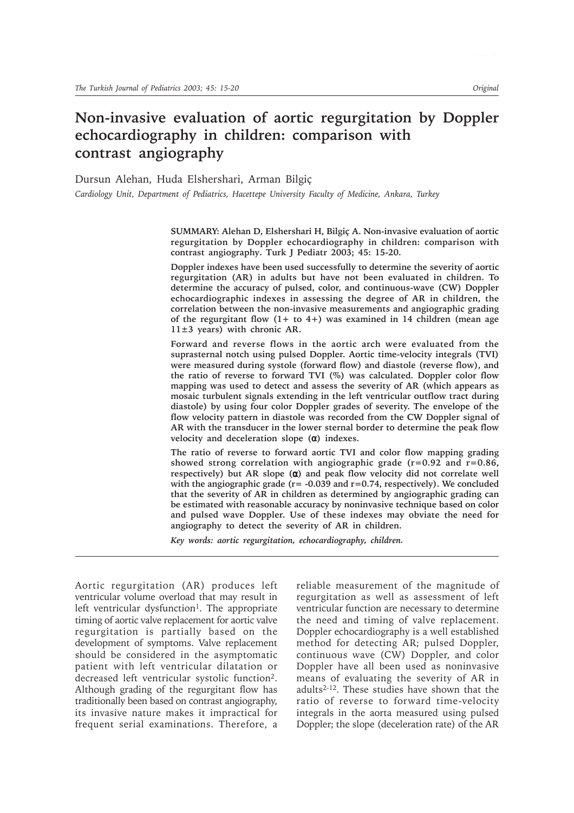# **Non-invasive evaluation of aortic regurgitation by Doppler echocardiography in children: comparison with contrast angiography**

Dursun Alehan, Huda Elshershari, Arman Bilgiç

*Cardiology Unit, Department of Pediatrics, Hacettepe University Faculty of Medicine, Ankara, Turkey*

**SUMMARY: Alehan D, Elshershari H, Bilgiç A. Non-invasive evaluation of aortic regurgitation by Doppler echocardiography in children: comparison with contrast angiography. Turk J Pediatr 2003; 45: 15-20.**

**Doppler indexes have been used successfully to determine the severity of aortic regurgitation (AR) in adults but have not been evaluated in children. To determine the accuracy of pulsed, color, and continuous-wave (CW) Doppler echocardiographic indexes in assessing the degree of AR in children, the correlation between the non-invasive measurements and angiographic grading of the regurgitant flow (1+ to 4+) was examined in 14 children (mean age 11±3 years) with chronic AR.**

**Forward and reverse flows in the aortic arch were evaluated from the suprasternal notch using pulsed Doppler. Aortic time-velocity integrals (TVI) were measured during systole (forward flow) and diastole (reverse flow), and the ratio of reverse to forward TVI (%) was calculated. Doppler color flow mapping was used to detect and assess the severity of AR (which appears as mosaic turbulent signals extending in the left ventricular outflow tract during diastole) by using four color Doppler grades of severity. The envelope of the flow velocity pattern in diastole was recorded from the CW Doppler signal of AR with the transducer in the lower sternal border to determine the peak flow velocity and deceleration slope (**α**) indexes.**

**The ratio of reverse to forward aortic TVI and color flow mapping grading showed strong correlation with angiographic grade (r=0.92 and r=0.86, respectively)** but AR slope  $(\alpha)$  and peak flow velocity did not correlate well **with the angiographic grade (r= -0.039 and r=0.74, respectively). We concluded that the severity of AR in children as determined by angiographic grading can be estimated with reasonable accuracy by noninvasive technique based on color and pulsed wave Doppler. Use of these indexes may obviate the need for angiography to detect the severity of AR in children.**

*Key words: aortic regurgitation, echocardiography, children.*

Aortic regurgitation (AR) produces left ventricular volume overload that may result in left ventricular dysfunction<sup>1</sup>. The appropriate timing of aortic valve replacement for aortic valve regurgitation is partially based on the development of symptoms. Valve replacement should be considered in the asymptomatic patient with left ventricular dilatation or decreased left ventricular systolic function2. Although grading of the regurgitant flow has traditionally been based on contrast angiography, its invasive nature makes it impractical for frequent serial examinations. Therefore, a reliable measurement of the magnitude of regurgitation as well as assessment of left ventricular function are necessary to determine the need and timing of valve replacement. Doppler echocardiography is a well established method for detecting AR; pulsed Doppler, continuous wave (CW) Doppler, and color Doppler have all been used as noninvasive means of evaluating the severity of AR in adults2-12. These studies have shown that the ratio of reverse to forward time-velocity integrals in the aorta measured using pulsed Doppler; the slope (deceleration rate) of the AR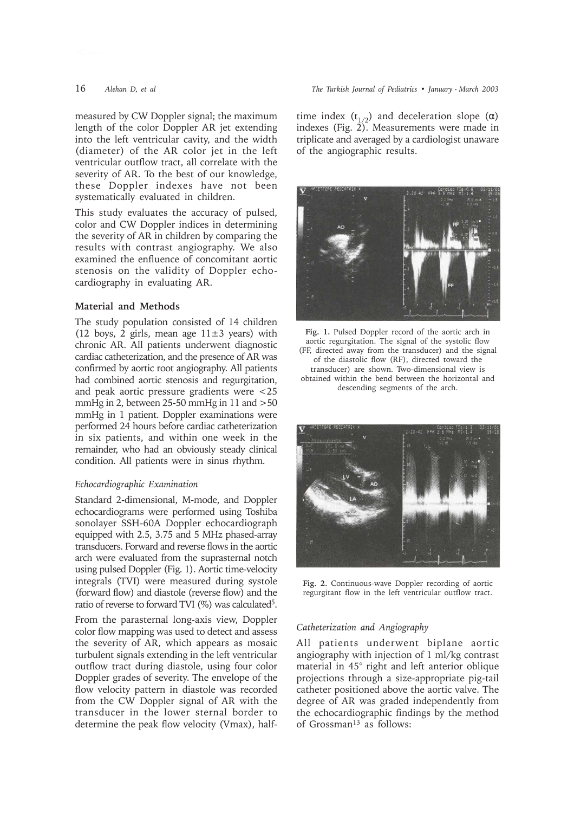measured by CW Doppler signal; the maximum length of the color Doppler AR jet extending into the left ventricular cavity, and the width (diameter) of the AR color jet in the left ventricular outflow tract, all correlate with the severity of AR. To the best of our knowledge, these Doppler indexes have not been systematically evaluated in children.

This study evaluates the accuracy of pulsed, color and CW Doppler indices in determining the severity of AR in children by comparing the results with contrast angiography. We also examined the enfluence of concomitant aortic stenosis on the validity of Doppler echocardiography in evaluating AR.

### **Material and Methods**

The study population consisted of 14 children (12 boys, 2 girls, mean age  $11\pm3$  years) with chronic AR. All patients underwent diagnostic cardiac catheterization, and the presence of AR was confirmed by aortic root angiography. All patients had combined aortic stenosis and regurgitation, and peak aortic pressure gradients were <25 mmHg in 2, between  $25-50$  mmHg in 11 and  $>50$ mmHg in 1 patient. Doppler examinations were performed 24 hours before cardiac catheterization in six patients, and within one week in the remainder, who had an obviously steady clinical condition. All patients were in sinus rhythm.

#### *Echocardiographic Examination*

Standard 2-dimensional, M-mode, and Doppler echocardiograms were performed using Toshiba sonolayer SSH-60A Doppler echocardiograph equipped with 2.5, 3.75 and 5 MHz phased-array transducers. Forward and reverse flows in the aortic arch were evaluated from the suprasternal notch using pulsed Doppler (Fig. 1). Aortic time-velocity integrals (TVI) were measured during systole (forward flow) and diastole (reverse flow) and the ratio of reverse to forward TVI (%) was calculated5.

From the parasternal long-axis view, Doppler color flow mapping was used to detect and assess the severity of AR, which appears as mosaic turbulent signals extending in the left ventricular outflow tract during diastole, using four color Doppler grades of severity. The envelope of the flow velocity pattern in diastole was recorded from the CW Doppler signal of AR with the transducer in the lower sternal border to determine the peak flow velocity (Vmax), halftime index (t<sub>1/2</sub>) and deceleration slope ( $\alpha$ ) indexes (Fig. 2). Measurements were made in triplicate and averaged by a cardiologist unaware of the angiographic results.



**Fig. 1.** Pulsed Doppler record of the aortic arch in aortic regurgitation. The signal of the systolic flow (FF, directed away from the transducer) and the signal of the diastolic flow (RF), directed toward the transducer) are shown. Two-dimensional view is obtained within the bend between the horizontal and descending segments of the arch.



**Fig. 2.** Continuous-wave Doppler recording of aortic regurgitant flow in the left ventricular outflow tract.

#### *Catheterization and Angiography*

All patients underwent biplane aortic angiography with injection of 1 ml/kg contrast material in 45° right and left anterior oblique projections through a size-appropriate pig-tail catheter positioned above the aortic valve. The degree of AR was graded independently from the echocardiographic findings by the method of Grossman13 as follows: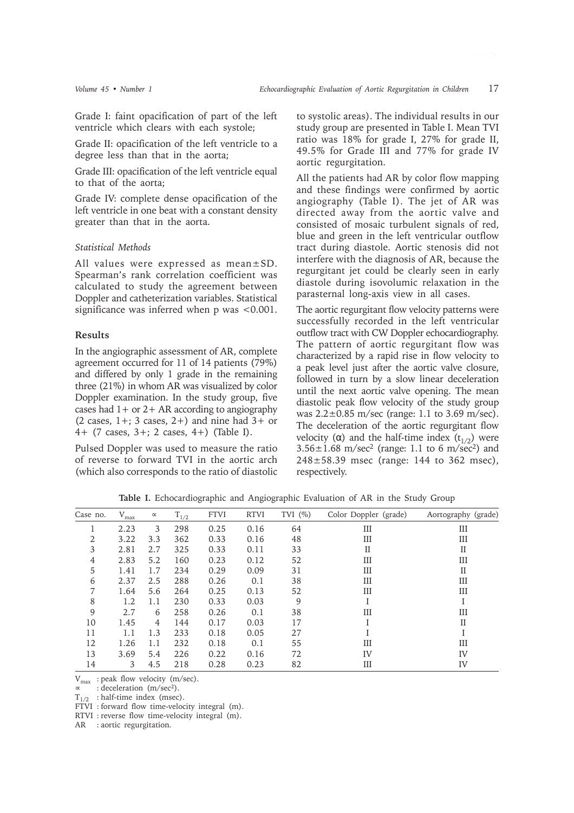Grade I: faint opacification of part of the left ventricle which clears with each systole;

Grade II: opacification of the left ventricle to a degree less than that in the aorta;

Grade III: opacification of the left ventricle equal to that of the aorta;

Grade IV: complete dense opacification of the left ventricle in one beat with a constant density greater than that in the aorta.

### *Statistical Methods*

All values were expressed as mean±SD. Spearman's rank correlation coefficient was calculated to study the agreement between Doppler and catheterization variables. Statistical significance was inferred when p was <0.001.

### **Results**

In the angiographic assessment of AR, complete agreement occurred for 11 of 14 patients (79%) and differed by only 1 grade in the remaining three (21%) in whom AR was visualized by color Doppler examination. In the study group, five cases had  $1+$  or  $2+$  AR according to angiography  $(2 \cases, 1+; 3 \cases, 2+)$  and nine had  $3+$  or 4+ (7 cases, 3+; 2 cases, 4+) (Table I).

Pulsed Doppler was used to measure the ratio of reverse to forward TVI in the aortic arch (which also corresponds to the ratio of diastolic

to systolic areas). The individual results in our study group are presented in Table I. Mean TVI ratio was 18% for grade I, 27% for grade II, 49.5% for Grade III and 77% for grade IV aortic regurgitation.

All the patients had AR by color flow mapping and these findings were confirmed by aortic angiography (Table I). The jet of AR was directed away from the aortic valve and consisted of mosaic turbulent signals of red, blue and green in the left ventricular outflow tract during diastole. Aortic stenosis did not interfere with the diagnosis of AR, because the regurgitant jet could be clearly seen in early diastole during isovolumic relaxation in the parasternal long-axis view in all cases.

The aortic regurgitant flow velocity patterns were successfully recorded in the left ventricular outflow tract with CW Doppler echocardiography. The pattern of aortic regurgitant flow was characterized by a rapid rise in flow velocity to a peak level just after the aortic valve closure, followed in turn by a slow linear deceleration until the next aortic valve opening. The mean diastolic peak flow velocity of the study group was 2.2±0.85 m/sec (range: 1.1 to 3.69 m/sec). The deceleration of the aortic regurgitant flow velocity (α) and the half-time index  $(t_{1/2})$  were  $3.56 \pm 1.68$  m/sec<sup>2</sup> (range: 1.1 to 6 m/sec<sup>2</sup>) and 248±58.39 msec (range: 144 to 362 msec), respectively.

| Case no. | $V_{max}$ | $\infty$ | $T_{1/2}$ | <b>FTVI</b> | <b>RTVI</b> | TVI $(\%)$ | Color Doppler (grade) | Aortography (grade) |
|----------|-----------|----------|-----------|-------------|-------------|------------|-----------------------|---------------------|
|          | 2.23      | 3        | 298       | 0.25        | 0.16        | 64         | Ш                     | III                 |
| 2        | 3.22      | 3.3      | 362       | 0.33        | 0.16        | 48         | Ш                     | III                 |
| 3        | 2.81      | 2.7      | 325       | 0.33        | 0.11        | 33         | П                     | $_{\rm II}$         |
| 4        | 2.83      | 5.2      | 160       | 0.23        | 0.12        | 52         | Ш                     | III                 |
| 5        | 1.41      | 1.7      | 234       | 0.29        | 0.09        | 31         | Ш                     | $_{\rm II}$         |
| 6        | 2.37      | 2.5      | 288       | 0.26        | 0.1         | 38         | Ш                     | III                 |
|          | 1.64      | 5.6      | 264       | 0.25        | 0.13        | 52         | Ш                     | Ш                   |
| 8        | 1.2       | 1.1      | 230       | 0.33        | 0.03        | 9          |                       |                     |
| 9        | 2.7       | 6        | 258       | 0.26        | 0.1         | 38         | Ш                     | III                 |
| 10       | 1.45      | 4        | 144       | 0.17        | 0.03        | 17         |                       | $_{\rm II}$         |
| 11       | 1.1       | 1.3      | 233       | 0.18        | 0.05        | 27         |                       |                     |
| 12       | 1.26      | 1.1      | 232       | 0.18        | 0.1         | 55         | Ш                     | IΙI                 |
| 13       | 3.69      | 5.4      | 226       | 0.22        | 0.16        | 72         | IV                    | IV                  |
| 14       | 3         | 4.5      | 218       | 0.28        | 0.23        | 82         | Ш                     | IV                  |

**Table I.** Echocardiographic and Angiographic Evaluation of AR in the Study Group

 $V_{\text{max}}$ : peak flow velocity (m/sec).

∝ : deceleration (m/sec2).

 $T_{1/2}$  : half-time index (msec).

FTVI : forward flow time-velocity integral (m).

RTVI : reverse flow time-velocity integral (m).

AR : aortic regurgitation.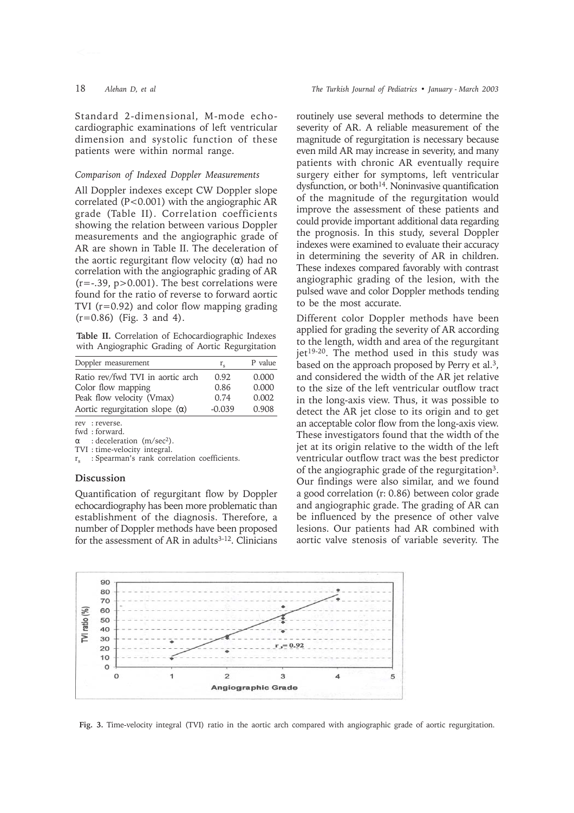Standard 2-dimensional, M-mode echocardiographic examinations of left ventricular dimension and systolic function of these patients were within normal range.

## *Comparison of Indexed Doppler Measurements*

All Doppler indexes except CW Doppler slope correlated (P<0.001) with the angiographic AR grade (Table II). Correlation coefficients showing the relation between various Doppler measurements and the angiographic grade of AR are shown in Table II. The deceleration of the aortic regurgitant flow velocity  $(α)$  had no correlation with the angiographic grading of AR  $(r=-.39, p>0.001)$ . The best correlations were found for the ratio of reverse to forward aortic TVI  $(r=0.92)$  and color flow mapping grading  $(r=0.86)$  (Fig. 3 and 4).

**Table II.** Correlation of Echocardiographic Indexes with Angiographic Grading of Aortic Regurgitation

| Doppler measurement                   | $r_{\circ}$ | P value |
|---------------------------------------|-------------|---------|
| Ratio rev/fwd TVI in aortic arch      | 0.92.       | 0.000   |
| Color flow mapping                    | 0.86        | 0.000   |
| Peak flow velocity (Vmax)             | 0.74        | 0.002   |
| Aortic regurgitation slope $(\alpha)$ | $-0.039$    | 0.908   |

rev : reverse.

fwd : forward.

: deceleration (m/sec<sup>2</sup>).

TVI : time-velocity integral.

r<sub>s</sub> : Spearman's rank correlation coefficients.

#### **Discussion**

Quantification of regurgitant flow by Doppler echocardiography has been more problematic than establishment of the diagnosis. Therefore, a number of Doppler methods have been proposed for the assessment of AR in adults $3-12$ . Clinicians

routinely use several methods to determine the severity of AR. A reliable measurement of the magnitude of regurgitation is necessary because even mild AR may increase in severity, and many patients with chronic AR eventually require surgery either for symptoms, left ventricular dysfunction, or both<sup>14</sup>. Noninvasive quantification of the magnitude of the regurgitation would improve the assessment of these patients and could provide important additional data regarding the prognosis. In this study, several Doppler indexes were examined to evaluate their accuracy in determining the severity of AR in children. These indexes compared favorably with contrast angiographic grading of the lesion, with the pulsed wave and color Doppler methods tending to be the most accurate.

Different color Doppler methods have been applied for grading the severity of AR according to the length, width and area of the regurgitant jet19-20. The method used in this study was based on the approach proposed by Perry et al.3, and considered the width of the AR jet relative to the size of the left ventricular outflow tract in the long-axis view. Thus, it was possible to detect the AR jet close to its origin and to get an acceptable color flow from the long-axis view. These investigators found that the width of the jet at its origin relative to the width of the left ventricular outflow tract was the best predictor of the angiographic grade of the regurgitation3. Our findings were also similar, and we found a good correlation (r: 0.86) between color grade and angiographic grade. The grading of AR can be influenced by the presence of other valve lesions. Our patients had AR combined with aortic valve stenosis of variable severity. The



**Fig. 3.** Time-velocity integral (TVI) ratio in the aortic arch compared with angiographic grade of aortic regurgitation.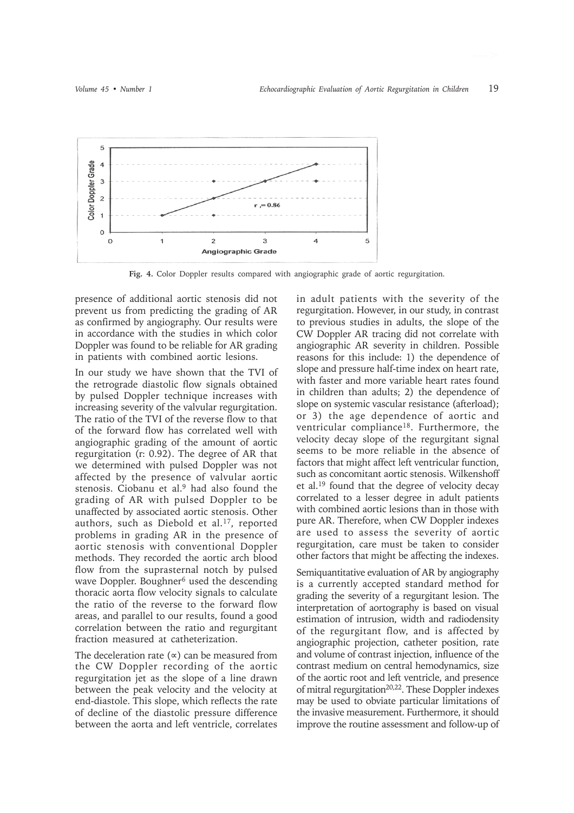

**Fig. 4.** Color Doppler results compared with angiographic grade of aortic regurgitation.

presence of additional aortic stenosis did not prevent us from predicting the grading of AR as confirmed by angiography. Our results were in accordance with the studies in which color Doppler was found to be reliable for AR grading in patients with combined aortic lesions.

In our study we have shown that the TVI of the retrograde diastolic flow signals obtained by pulsed Doppler technique increases with increasing severity of the valvular regurgitation. The ratio of the TVI of the reverse flow to that of the forward flow has correlated well with angiographic grading of the amount of aortic regurgitation (r: 0.92). The degree of AR that we determined with pulsed Doppler was not affected by the presence of valvular aortic stenosis. Ciobanu et al.9 had also found the grading of AR with pulsed Doppler to be unaffected by associated aortic stenosis. Other authors, such as Diebold et al.<sup>17</sup>, reported problems in grading AR in the presence of aortic stenosis with conventional Doppler methods. They recorded the aortic arch blood flow from the suprasternal notch by pulsed wave Doppler. Boughner<sup>6</sup> used the descending thoracic aorta flow velocity signals to calculate the ratio of the reverse to the forward flow areas, and parallel to our results, found a good correlation between the ratio and regurgitant fraction measured at catheterization.

The deceleration rate  $(\infty)$  can be measured from the CW Doppler recording of the aortic regurgitation jet as the slope of a line drawn between the peak velocity and the velocity at end-diastole. This slope, which reflects the rate of decline of the diastolic pressure difference between the aorta and left ventricle, correlates

in adult patients with the severity of the regurgitation. However, in our study, in contrast to previous studies in adults, the slope of the CW Doppler AR tracing did not correlate with angiographic AR severity in children. Possible reasons for this include: 1) the dependence of slope and pressure half-time index on heart rate, with faster and more variable heart rates found in children than adults; 2) the dependence of slope on systemic vascular resistance (afterload); or 3) the age dependence of aortic and ventricular compliance<sup>18</sup>. Furthermore, the velocity decay slope of the regurgitant signal seems to be more reliable in the absence of factors that might affect left ventricular function, such as concomitant aortic stenosis. Wilkenshoff et al.19 found that the degree of velocity decay correlated to a lesser degree in adult patients with combined aortic lesions than in those with pure AR. Therefore, when CW Doppler indexes are used to assess the severity of aortic regurgitation, care must be taken to consider other factors that might be affecting the indexes.

Semiquantitative evaluation of AR by angiography is a currently accepted standard method for grading the severity of a regurgitant lesion. The interpretation of aortography is based on visual estimation of intrusion, width and radiodensity of the regurgitant flow, and is affected by angiographic projection, catheter position, rate and volume of contrast injection, influence of the contrast medium on central hemodynamics, size of the aortic root and left ventricle, and presence of mitral regurgitation<sup>20,22</sup>. These Doppler indexes may be used to obviate particular limitations of the invasive measurement. Furthermore, it should improve the routine assessment and follow-up of